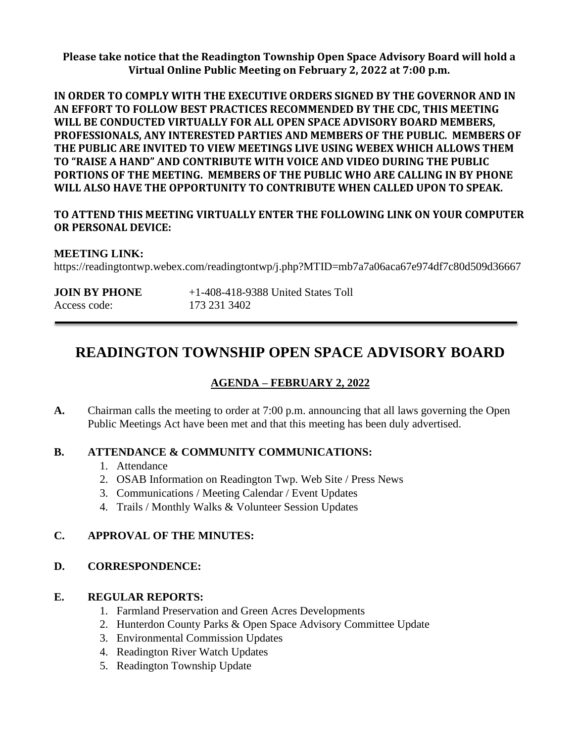**Please take notice that the Readington Township Open Space Advisory Board will hold a Virtual Online Public Meeting on February 2, 2022 at 7:00 p.m.**

**IN ORDER TO COMPLY WITH THE EXECUTIVE ORDERS SIGNED BY THE GOVERNOR AND IN AN EFFORT TO FOLLOW BEST PRACTICES RECOMMENDED BY THE CDC, THIS MEETING WILL BE CONDUCTED VIRTUALLY FOR ALL OPEN SPACE ADVISORY BOARD MEMBERS, PROFESSIONALS, ANY INTERESTED PARTIES AND MEMBERS OF THE PUBLIC. MEMBERS OF THE PUBLIC ARE INVITED TO VIEW MEETINGS LIVE USING WEBEX WHICH ALLOWS THEM TO "RAISE A HAND" AND CONTRIBUTE WITH VOICE AND VIDEO DURING THE PUBLIC PORTIONS OF THE MEETING. MEMBERS OF THE PUBLIC WHO ARE CALLING IN BY PHONE WILL ALSO HAVE THE OPPORTUNITY TO CONTRIBUTE WHEN CALLED UPON TO SPEAK.**

#### **TO ATTEND THIS MEETING VIRTUALLY ENTER THE FOLLOWING LINK ON YOUR COMPUTER OR PERSONAL DEVICE:**

#### **MEETING LINK:**

https://readingtontwp.webex.com/readingtontwp/j.php?MTID=mb7a7a06aca67e974df7c80d509d36667

| <b>JOIN BY PHONE</b> | $+1-408-418-9388$ United States Toll |
|----------------------|--------------------------------------|
| Access code:         | 173 231 3402                         |

# **READINGTON TOWNSHIP OPEN SPACE ADVISORY BOARD**

#### **AGENDA – FEBRUARY 2, 2022**

**A.** Chairman calls the meeting to order at 7:00 p.m. announcing that all laws governing the Open Public Meetings Act have been met and that this meeting has been duly advertised.

#### **B. ATTENDANCE & COMMUNITY COMMUNICATIONS:**

- 1. Attendance
- 2. OSAB Information on Readington Twp. Web Site / Press News
- 3. Communications / Meeting Calendar / Event Updates
- 4. Trails / Monthly Walks & Volunteer Session Updates

#### **C. APPROVAL OF THE MINUTES:**

#### **D. CORRESPONDENCE:**

#### **E. REGULAR REPORTS:**

- 1. Farmland Preservation and Green Acres Developments
- 2. Hunterdon County Parks & Open Space Advisory Committee Update
- 3. Environmental Commission Updates
- 4. Readington River Watch Updates
- 5. Readington Township Update